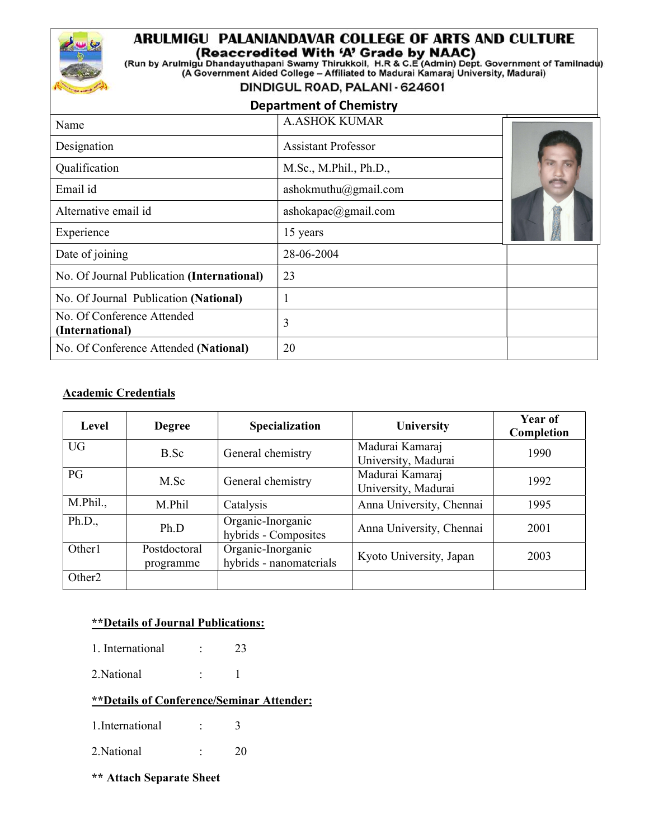# ARULMIGU PALANIANDAVAR COLLEGE OF ARTS AND CULTURE

(Reaccredited With 'A' Grade by NAAC)<br>(Run by Arulmigu Dhandayuthapani Swamy Thirukkoil, H.R & C.E (Admin) Dept. Government of Tamilnadu)

(A Government Aided College - Affiliated to Madurai Kamaraj University, Madurai)

#### DINDIGUL ROAD, PALANI - 624601

### Department of Chemistry

| Name                                          | <b>A.ASHOK KUMAR</b>       |  |
|-----------------------------------------------|----------------------------|--|
| Designation                                   | <b>Assistant Professor</b> |  |
| Qualification                                 | M.Sc., M.Phil., Ph.D.,     |  |
| Email id                                      | ashokmuthu@gmail.com       |  |
| Alternative email id                          | ashokapac@gmail.com        |  |
| Experience                                    | 15 years                   |  |
| Date of joining                               | 28-06-2004                 |  |
| No. Of Journal Publication (International)    | 23                         |  |
| No. Of Journal Publication (National)         |                            |  |
| No. Of Conference Attended<br>(International) | 3                          |  |
| No. Of Conference Attended (National)         | 20                         |  |

#### Academic Credentials

| Level              | <b>Degree</b>             | <b>Specialization</b>                        | <b>University</b>                      | Year of<br>Completion |
|--------------------|---------------------------|----------------------------------------------|----------------------------------------|-----------------------|
| <b>UG</b>          | B.Sc                      | General chemistry                            | Madurai Kamaraj<br>University, Madurai | 1990                  |
| PG                 | M.Sc                      | General chemistry                            | Madurai Kamaraj<br>University, Madurai | 1992                  |
| M.Phil.,           | M.Phil                    | Catalysis                                    | Anna University, Chennai               | 1995                  |
| Ph.D.,             | Ph.D                      | Organic-Inorganic<br>hybrids - Composites    | Anna University, Chennai               | 2001                  |
| Other1             | Postdoctoral<br>programme | Organic-Inorganic<br>hybrids - nanomaterials | Kyoto University, Japan                | 2003                  |
| Other <sub>2</sub> |                           |                                              |                                        |                       |

#### \*\*Details of Journal Publications:

- 1. International : 23
- 2. National : 1

#### \*\*Details of Conference/Seminar Attender:

- 1.International : 3
- 2.National : 20
- \*\* Attach Separate Sheet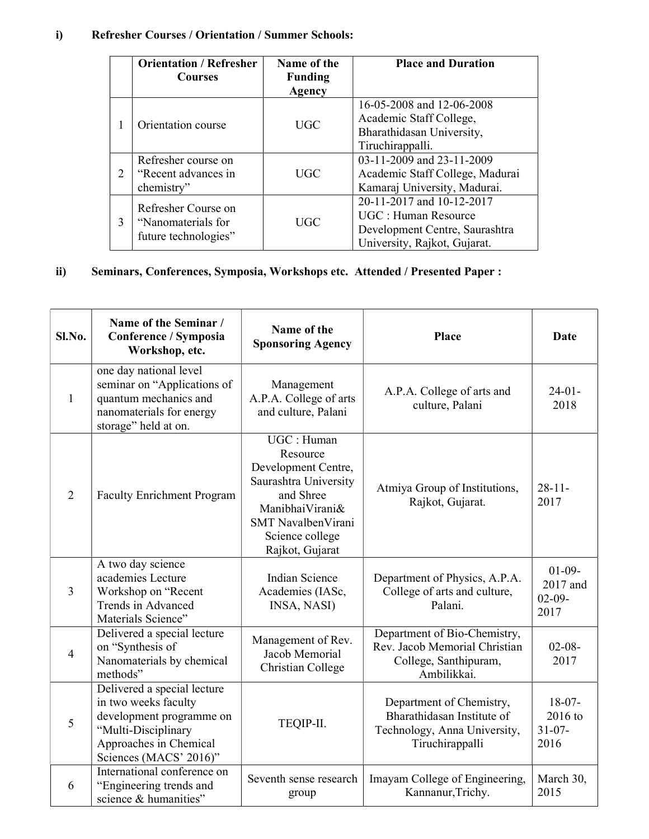## i) Refresher Courses / Orientation / Summer Schools:

|                             | <b>Orientation / Refresher</b>                                    | Name of the    | <b>Place and Duration</b>       |
|-----------------------------|-------------------------------------------------------------------|----------------|---------------------------------|
|                             | <b>Courses</b>                                                    | <b>Funding</b> |                                 |
|                             |                                                                   | Agency         |                                 |
|                             | Orientation course                                                | UGC            | 16-05-2008 and 12-06-2008       |
|                             |                                                                   |                | Academic Staff College,         |
|                             |                                                                   |                | Bharathidasan University,       |
|                             |                                                                   |                | Tiruchirappalli.                |
|                             | Refresher course on                                               | UGC            | 03-11-2009 and 23-11-2009       |
| $\mathcal{D}_{\mathcal{L}}$ | "Recent advances in                                               |                | Academic Staff College, Madurai |
|                             | chemistry"                                                        |                | Kamaraj University, Madurai.    |
|                             | Refresher Course on<br>"Nanomaterials for<br>future technologies" |                | 20-11-2017 and 10-12-2017       |
| 3                           |                                                                   |                | UGC : Human Resource            |
|                             |                                                                   | UGC            | Development Centre, Saurashtra  |
|                             |                                                                   |                | University, Rajkot, Gujarat.    |

# ii) Seminars, Conferences, Symposia, Workshops etc. Attended / Presented Paper :

| Sl.No.         | Name of the Seminar /<br>Conference / Symposia<br>Workshop, etc.                                                                                           | Name of the<br><b>Sponsoring Agency</b>                                                                                                                             | Place                                                                                                     | <b>Date</b>                                |
|----------------|------------------------------------------------------------------------------------------------------------------------------------------------------------|---------------------------------------------------------------------------------------------------------------------------------------------------------------------|-----------------------------------------------------------------------------------------------------------|--------------------------------------------|
| 1              | one day national level<br>seminar on "Applications of<br>quantum mechanics and<br>nanomaterials for energy<br>storage" held at on.                         | Management<br>A.P.A. College of arts<br>and culture, Palani                                                                                                         | A.P.A. College of arts and<br>culture, Palani                                                             | $24-01-$<br>2018                           |
| $\overline{2}$ | <b>Faculty Enrichment Program</b>                                                                                                                          | UGC : Human<br>Resource<br>Development Centre,<br>Saurashtra University<br>and Shree<br>ManibhaiVirani&<br>SMT NavalbenVirani<br>Science college<br>Rajkot, Gujarat | Atmiya Group of Institutions,<br>Rajkot, Gujarat.                                                         | $28 - 11 -$<br>2017                        |
| 3              | A two day science<br>academies Lecture<br>Workshop on "Recent<br>Trends in Advanced<br>Materials Science"                                                  | Indian Science<br>Academies (IASc,<br>INSA, NASI)                                                                                                                   | Department of Physics, A.P.A.<br>College of arts and culture,<br>Palani.                                  | $01-09-$<br>2017 and<br>$02-09-$<br>2017   |
| $\overline{4}$ | Delivered a special lecture<br>on "Synthesis of<br>Nanomaterials by chemical<br>methods"                                                                   | Management of Rev.<br>Jacob Memorial<br>Christian College                                                                                                           | Department of Bio-Chemistry,<br>Rev. Jacob Memorial Christian<br>College, Santhipuram,<br>Ambilikkai.     | $02 - 08 -$<br>2017                        |
| 5              | Delivered a special lecture<br>in two weeks faculty<br>development programme on<br>"Multi-Disciplinary<br>Approaches in Chemical<br>Sciences (MACS' 2016)" | TEQIP-II.                                                                                                                                                           | Department of Chemistry,<br>Bharathidasan Institute of<br>Technology, Anna University,<br>Tiruchirappalli | $18-07-$<br>2016 to<br>$31 - 07 -$<br>2016 |
| 6              | International conference on<br>"Engineering trends and<br>science & humanities"                                                                            | Seventh sense research<br>group                                                                                                                                     | Imayam College of Engineering,<br>Kannanur, Trichy.                                                       | March 30,<br>2015                          |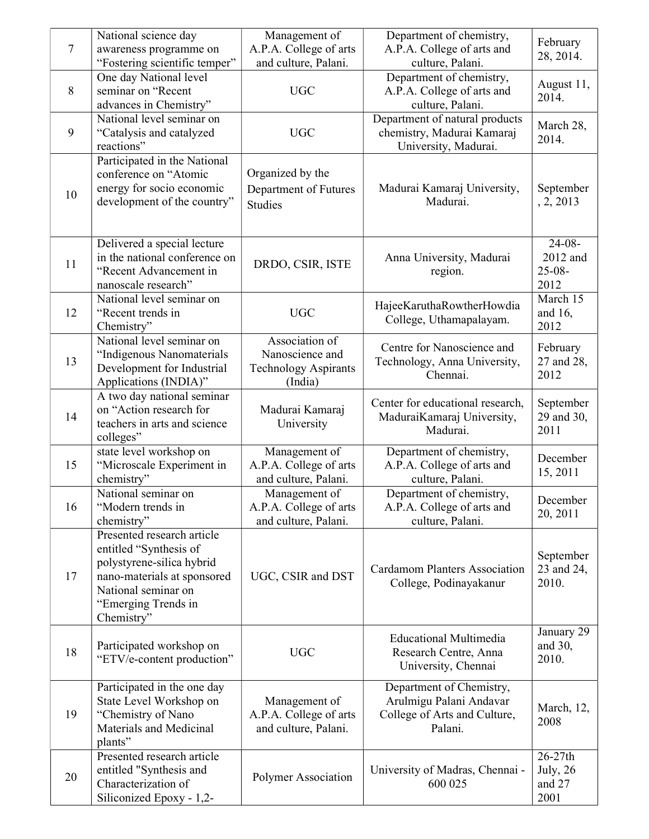| $\tau$ | National science day<br>awareness programme on<br>"Fostering scientific temper"                                                                                              | Management of<br>A.P.A. College of arts<br>and culture, Palani.             | Department of chemistry,<br>A.P.A. College of arts and<br>culture, Palani.                     | February<br>28, 2014.                         |
|--------|------------------------------------------------------------------------------------------------------------------------------------------------------------------------------|-----------------------------------------------------------------------------|------------------------------------------------------------------------------------------------|-----------------------------------------------|
| 8      | One day National level<br>seminar on "Recent<br>advances in Chemistry"                                                                                                       | <b>UGC</b>                                                                  | Department of chemistry,<br>A.P.A. College of arts and<br>culture, Palani.                     | August 11,<br>2014.                           |
| 9      | National level seminar on<br>"Catalysis and catalyzed<br>reactions"                                                                                                          | <b>UGC</b>                                                                  | Department of natural products<br>chemistry, Madurai Kamaraj<br>University, Madurai.           | March 28,<br>2014.                            |
| 10     | Participated in the National<br>conference on "Atomic<br>energy for socio economic<br>development of the country"                                                            | Organized by the<br>Department of Futures<br><b>Studies</b>                 | Madurai Kamaraj University,<br>Madurai.                                                        | September<br>, 2, 2013                        |
| 11     | Delivered a special lecture<br>in the national conference on<br>"Recent Advancement in<br>nanoscale research"                                                                | DRDO, CSIR, ISTE                                                            | Anna University, Madurai<br>region.                                                            | $24-08-$<br>2012 and<br>$25 - 08 -$<br>2012   |
| 12     | National level seminar on<br>"Recent trends in<br>Chemistry"                                                                                                                 | <b>UGC</b>                                                                  | HajeeKaruthaRowtherHowdia<br>College, Uthamapalayam.                                           | March 15<br>and 16,<br>2012                   |
| 13     | National level seminar on<br>"Indigenous Nanomaterials<br>Development for Industrial<br>Applications (INDIA)"                                                                | Association of<br>Nanoscience and<br><b>Technology Aspirants</b><br>(India) | Centre for Nanoscience and<br>Technology, Anna University,<br>Chennai.                         | February<br>27 and 28,<br>2012                |
| 14     | A two day national seminar<br>on "Action research for<br>teachers in arts and science<br>colleges"                                                                           | Madurai Kamaraj<br>University                                               | Center for educational research,<br>MaduraiKamaraj University,<br>Madurai.                     | September<br>29 and 30,<br>2011               |
| 15     | state level workshop on<br>"Microscale Experiment in<br>chemistry"                                                                                                           | Management of<br>A.P.A. College of arts<br>and culture, Palani.             | Department of chemistry,<br>A.P.A. College of arts and<br>culture, Palani.                     | December<br>15, 2011                          |
| 16     | National seminar on<br>"Modern trends in<br>chemistry"                                                                                                                       | Management of<br>A.P.A. College of arts<br>and culture, Palani.             | Department of chemistry,<br>A.P.A. College of arts and<br>culture, Palani.                     | December<br>20, 2011                          |
| 17     | Presented research article<br>entitled "Synthesis of<br>polystyrene-silica hybrid<br>nano-materials at sponsored<br>National seminar on<br>"Emerging Trends in<br>Chemistry" | UGC, CSIR and DST                                                           | <b>Cardamom Planters Association</b><br>College, Podinayakanur                                 | September<br>23 and 24,<br>2010.              |
| 18     | Participated workshop on<br>"ETV/e-content production"                                                                                                                       | <b>UGC</b>                                                                  | <b>Educational Multimedia</b><br>Research Centre, Anna<br>University, Chennai                  | January 29<br>and 30,<br>2010.                |
| 19     | Participated in the one day<br>State Level Workshop on<br>"Chemistry of Nano<br>Materials and Medicinal<br>plants"                                                           | Management of<br>A.P.A. College of arts<br>and culture, Palani.             | Department of Chemistry,<br>Arulmigu Palani Andavar<br>College of Arts and Culture,<br>Palani. | March, 12,<br>2008                            |
| 20     | Presented research article<br>entitled "Synthesis and<br>Characterization of<br>Siliconized Epoxy - 1,2-                                                                     | Polymer Association                                                         | University of Madras, Chennai -<br>600 025                                                     | 26-27th<br><b>July</b> , 26<br>and 27<br>2001 |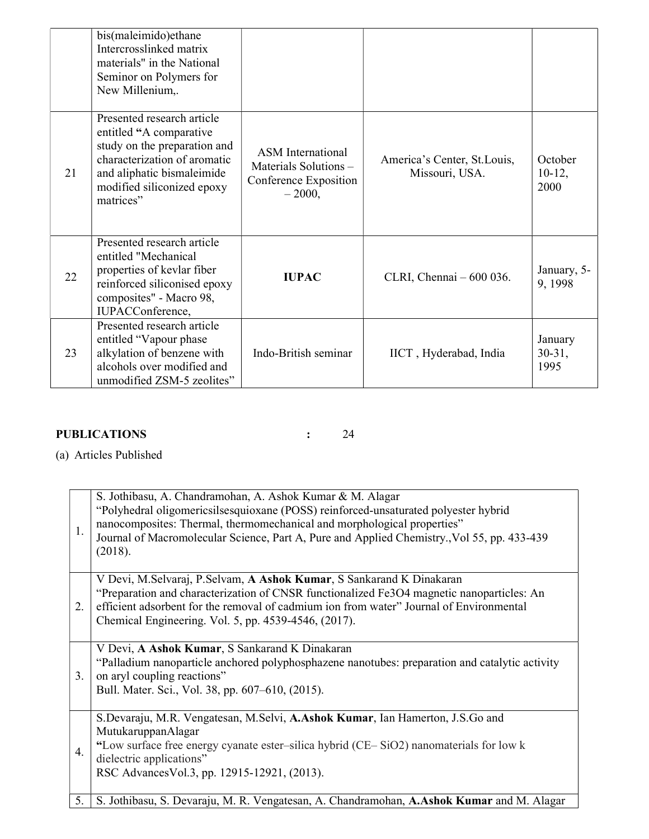|    | bis(maleimido)ethane<br>Intercrosslinked matrix<br>materials" in the National<br>Seminor on Polymers for<br>New Millenium,.                                                                    |                                                                                        |                                               |                             |
|----|------------------------------------------------------------------------------------------------------------------------------------------------------------------------------------------------|----------------------------------------------------------------------------------------|-----------------------------------------------|-----------------------------|
| 21 | Presented research article<br>entitled "A comparative<br>study on the preparation and<br>characterization of aromatic<br>and aliphatic bismaleimide<br>modified siliconized epoxy<br>matrices" | <b>ASM</b> International<br>Materials Solutions -<br>Conference Exposition<br>$-2000,$ | America's Center, St.Louis,<br>Missouri, USA. | October<br>$10-12,$<br>2000 |
| 22 | Presented research article<br>entitled "Mechanical<br>properties of kevlar fiber<br>reinforced siliconised epoxy<br>composites" - Macro 98,<br>IUPACConference,                                | <b>IUPAC</b>                                                                           | CLRI, Chennai $-600036$ .                     | January, 5-<br>9, 1998      |
| 23 | Presented research article<br>entitled "Vapour phase"<br>alkylation of benzene with<br>alcohols over modified and<br>unmodified ZSM-5 zeolites"                                                | Indo-British seminar                                                                   | IICT, Hyderabad, India                        | January<br>$30-31,$<br>1995 |

# PUBLICATIONS : 24

(a) Articles Published

| 1. | S. Jothibasu, A. Chandramohan, A. Ashok Kumar & M. Alagar<br>"Polyhedral oligomericsilsesquioxane (POSS) reinforced-unsaturated polyester hybrid<br>nanocomposites: Thermal, thermomechanical and morphological properties"<br>Journal of Macromolecular Science, Part A, Pure and Applied Chemistry., Vol 55, pp. 433-439<br>(2018). |
|----|---------------------------------------------------------------------------------------------------------------------------------------------------------------------------------------------------------------------------------------------------------------------------------------------------------------------------------------|
| 2. | V Devi, M.Selvaraj, P.Selvam, A Ashok Kumar, S Sankarand K Dinakaran<br>"Preparation and characterization of CNSR functionalized Fe3O4 magnetic nanoparticles: An<br>efficient adsorbent for the removal of cadmium ion from water" Journal of Environmental<br>Chemical Engineering. Vol. 5, pp. 4539-4546, (2017).                  |
| 3. | V Devi, A Ashok Kumar, S Sankarand K Dinakaran<br>"Palladium nanoparticle anchored polyphosphazene nanotubes: preparation and catalytic activity<br>on aryl coupling reactions"<br>Bull. Mater. Sci., Vol. 38, pp. 607–610, (2015).                                                                                                   |
| 4. | S.Devaraju, M.R. Vengatesan, M.Selvi, A.Ashok Kumar, Ian Hamerton, J.S.Go and<br>MutukaruppanAlagar<br>"Low surface free energy cyanate ester-silica hybrid (CE-SiO2) nanomaterials for low k<br>dielectric applications"<br>RSC Advances Vol.3, pp. 12915-12921, (2013).                                                             |
| 5. | S. Jothibasu, S. Devaraju, M. R. Vengatesan, A. Chandramohan, A. Ashok Kumar and M. Alagar                                                                                                                                                                                                                                            |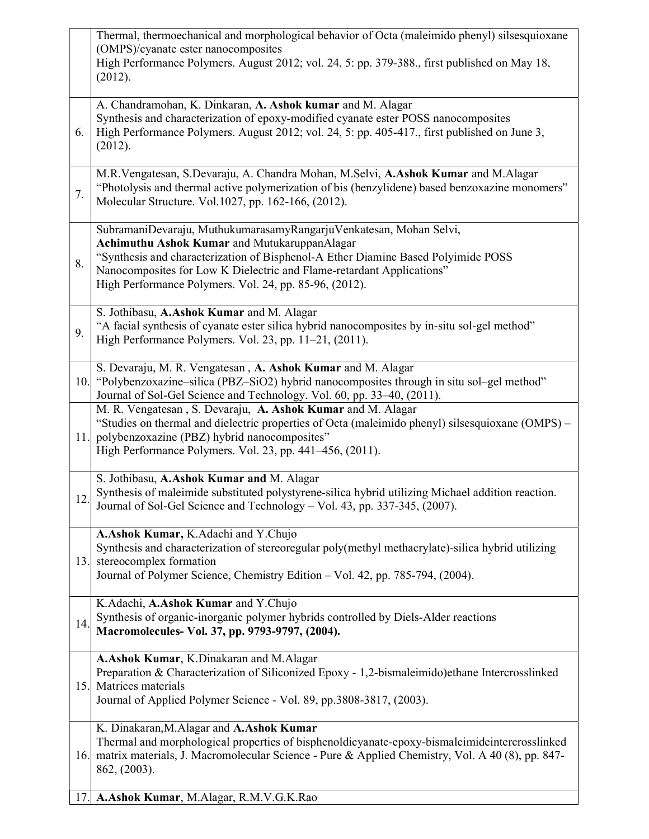|     | Thermal, thermoechanical and morphological behavior of Octa (maleimido phenyl) silsesquioxane<br>(OMPS)/cyanate ester nanocomposites<br>High Performance Polymers. August 2012; vol. 24, 5: pp. 379-388., first published on May 18,<br>(2012).                                                                                            |
|-----|--------------------------------------------------------------------------------------------------------------------------------------------------------------------------------------------------------------------------------------------------------------------------------------------------------------------------------------------|
| 6.  | A. Chandramohan, K. Dinkaran, A. Ashok kumar and M. Alagar<br>Synthesis and characterization of epoxy-modified cyanate ester POSS nanocomposites<br>High Performance Polymers. August 2012; vol. 24, 5: pp. 405-417., first published on June 3,<br>(2012).                                                                                |
| 7.  | M.R.Vengatesan, S.Devaraju, A. Chandra Mohan, M.Selvi, A.Ashok Kumar and M.Alagar<br>"Photolysis and thermal active polymerization of bis (benzylidene) based benzoxazine monomers"<br>Molecular Structure. Vol. 1027, pp. 162-166, (2012).                                                                                                |
| 8.  | SubramaniDevaraju, MuthukumarasamyRangarjuVenkatesan, Mohan Selvi,<br>Achimuthu Ashok Kumar and MutukaruppanAlagar<br>"Synthesis and characterization of Bisphenol-A Ether Diamine Based Polyimide POSS<br>Nanocomposites for Low K Dielectric and Flame-retardant Applications"<br>High Performance Polymers. Vol. 24, pp. 85-96, (2012). |
| 9.  | S. Jothibasu, A.Ashok Kumar and M. Alagar<br>"A facial synthesis of cyanate ester silica hybrid nanocomposites by in-situ sol-gel method"<br>High Performance Polymers. Vol. 23, pp. 11–21, (2011).                                                                                                                                        |
|     | S. Devaraju, M. R. Vengatesan, A. Ashok Kumar and M. Alagar<br>10. "Polybenzoxazine-silica (PBZ-SiO2) hybrid nanocomposites through in situ sol-gel method"<br>Journal of Sol-Gel Science and Technology. Vol. 60, pp. 33-40, (2011).                                                                                                      |
| 11. | M. R. Vengatesan, S. Devaraju, A. Ashok Kumar and M. Alagar<br>"Studies on thermal and dielectric properties of Octa (maleimido phenyl) silsesquioxane (OMPS) -<br>polybenzoxazine (PBZ) hybrid nanocomposites"<br>High Performance Polymers. Vol. 23, pp. 441–456, (2011).                                                                |
| 12. | S. Jothibasu, A.Ashok Kumar and M. Alagar<br>Synthesis of maleimide substituted polystyrene-silica hybrid utilizing Michael addition reaction.<br>Journal of Sol-Gel Science and Technology - Vol. 43, pp. 337-345, (2007).                                                                                                                |
|     | A.Ashok Kumar, K.Adachi and Y.Chujo<br>Synthesis and characterization of stereoregular poly(methyl methacrylate)-silica hybrid utilizing<br>13. stereocomplex formation<br>Journal of Polymer Science, Chemistry Edition - Vol. 42, pp. 785-794, (2004).                                                                                   |
| 14. | K.Adachi, A.Ashok Kumar and Y.Chujo<br>Synthesis of organic-inorganic polymer hybrids controlled by Diels-Alder reactions<br>Macromolecules- Vol. 37, pp. 9793-9797, (2004).                                                                                                                                                               |
|     | A.Ashok Kumar, K.Dinakaran and M.Alagar<br>Preparation & Characterization of Siliconized Epoxy - 1,2-bismaleimido) ethane Intercrosslinked<br>15. Matrices materials<br>Journal of Applied Polymer Science - Vol. 89, pp.3808-3817, (2003).                                                                                                |
|     | K. Dinakaran, M. Alagar and A. Ashok Kumar<br>Thermal and morphological properties of bisphenoldicyanate-epoxy-bismaleimideintercrosslinked<br>16. matrix materials, J. Macromolecular Science - Pure & Applied Chemistry, Vol. A 40 (8), pp. 847-<br>862, (2003).                                                                         |
|     | 17. A.Ashok Kumar, M.Alagar, R.M.V.G.K.Rao                                                                                                                                                                                                                                                                                                 |